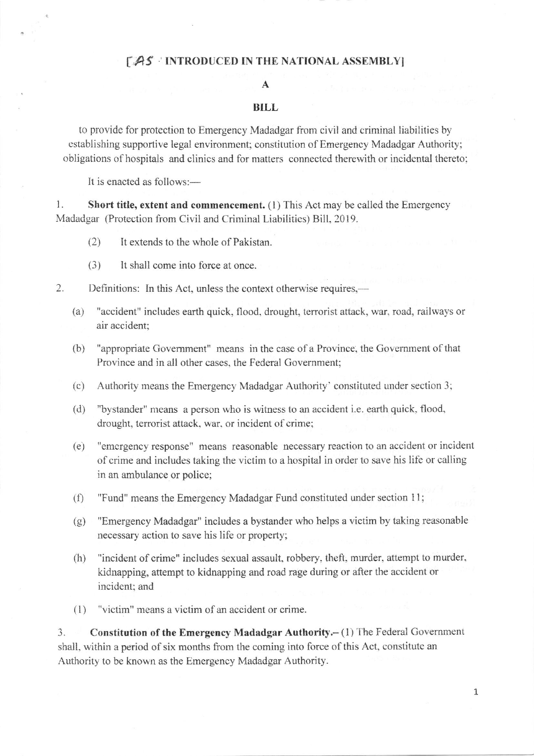## [AS : INTRODUCED IN THE NATIONAL ASSEMBLY]

## A

## BILL

to provide for protection to Emergency Madadgar from civil and criminal liabilities by establishing supportive legal environment; constitution of Emergency Madadgar Authority; obligations of hospitals and clinics and for matters connected therewith or incidental thereto;

It is enacted as follows:-

l. Short title, extent and commencement. (l) This Act may be called the Emergency Madadgar (Protection from Civil and Criminal Liabilities) Bill, 2019.

- (2) It extends to the whole of Pakistan.
- (3) It shall come into force at once.
- 2. Definitions: In this Act, unless the context otherwise requires.
	- (a) "accident" includes earth quick, flood, drought, terrorist attack, war, road, railways or air accident;
	- (b) "appropriate Govemment" means in the case of a Province, the Government of that Province and in all other cases, the Federal Government;
	- (c) Authority means the Emergency Madadgar Authority' constituted under section 3;
	- (d) "bystander" means a pcrson who is witness to an accident i.e. earth quick. flood, drought, terrorist attack, war. or incident of crime;
	- (e) "emcrgency response" means reasonable necessary reaction to an accident or incident of crime and includes taking the victim to a hospital in order to save his life or calling in an ambulance or police;
	- (f) "Fund" means the Emergency Madadgar Fund constituted under section 11;
	- (g) "Emergency Madadgar" includes a bystander who helps a victim by taking reasonable necessary action to save his life or property;
	- (h) "incident of crime" includes sexual assault, robbery, theft, murder, attempt to murder, kidnapping, attempt to kidnapping and road rage during or after the accident or incident; and
	- (1) "victim" means a vistim of an accident or crime.

3. Constitution of the Emergency Madadgar Authority.- (1) The Federal Government shall, within a period of six months from the coming into force of this Act, constitute an Authority to be known as the Emergency Madadgar Authority.

1